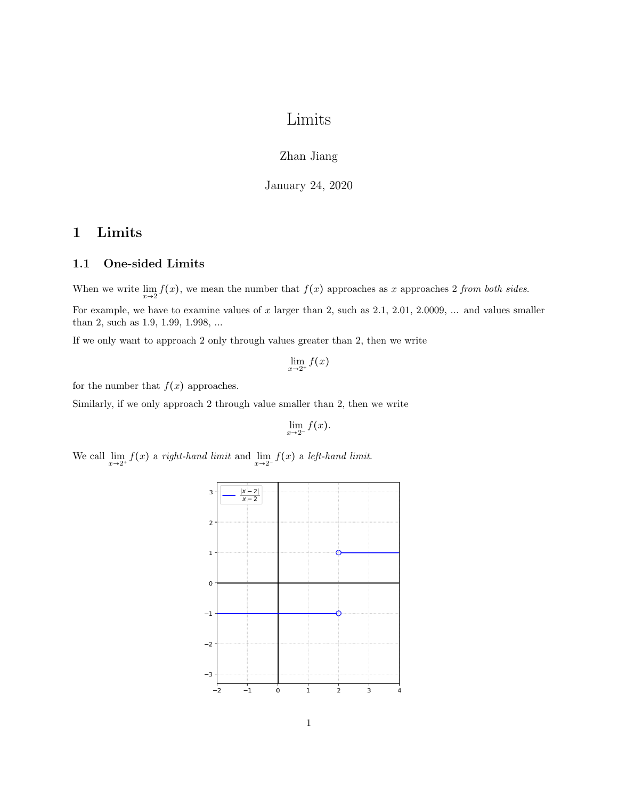# Limits

#### Zhan Jiang

January 24, 2020

### 1 Limits

#### 1.1 One-sided Limits

When we write  $\lim_{x\to 2} f(x)$ , we mean the number that  $f(x)$  approaches as x approaches 2 from both sides. For example, we have to examine values of  $x$  larger than 2, such as 2.1, 2.01, 2.0009, ... and values smaller than 2, such as 1.9, 1.99, 1.998, ...

If we only want to approach 2 only through values greater than 2, then we write

 $\lim_{x\to 2^+} f(x)$ 

for the number that  $f(x)$  approaches.

Similarly, if we only approach 2 through value smaller than 2, then we write

$$
\lim_{x\to 2^-} f(x).
$$

We call  $\lim_{x\to 2^+} f(x)$  a right-hand limit and  $\lim_{x\to 2^-} f(x)$  a left-hand limit.

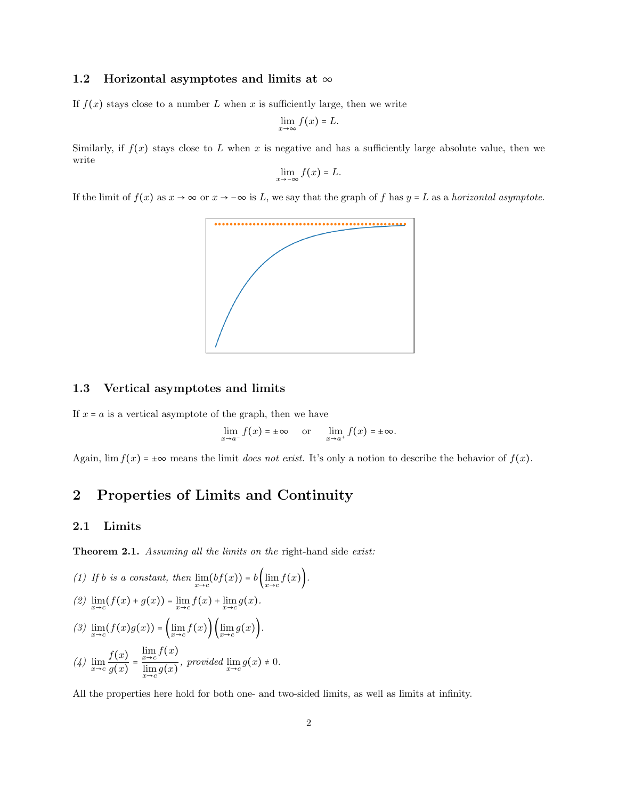#### 1.2 Horizontal asymptotes and limits at  $\infty$

If  $f(x)$  stays close to a number L when x is sufficiently large, then we write

$$
\lim_{x\to\infty}f(x)=L.
$$

Similarly, if  $f(x)$  stays close to L when x is negative and has a sufficiently large absolute value, then we write

$$
\lim_{x \to -\infty} f(x) = L.
$$

If the limit of  $f(x)$  as  $x \to \infty$  or  $x \to -\infty$  is L, we say that the graph of f has  $y = L$  as a horizontal asymptote.



#### 1.3 Vertical asymptotes and limits

If  $x = a$  is a vertical asymptote of the graph, then we have

$$
\lim_{x \to a^{-}} f(x) = \pm \infty \quad \text{or} \quad \lim_{x \to a^{+}} f(x) = \pm \infty.
$$

Again,  $\lim_{x \to a} f(x) = \pm \infty$  means the limit *does not exist*. It's only a notion to describe the behavior of  $f(x)$ .

## 2 Properties of Limits and Continuity

#### 2.1 Limits

Theorem 2.1. Assuming all the limits on the right-hand side exist:

(1) If *b* is a constant, then 
$$
\lim_{x \to c} (bf(x)) = b \left( \lim_{x \to c} f(x) \right)
$$
.  
\n(2)  $\lim_{x \to c} (f(x) + g(x)) = \lim_{x \to c} f(x) + \lim_{x \to c} g(x)$ .  
\n(3)  $\lim_{x \to c} (f(x)g(x)) = \left( \lim_{x \to c} f(x) \right) \left( \lim_{x \to c} g(x) \right)$ .  
\n(4)  $\lim_{x \to c} \frac{f(x)}{g(x)} = \frac{\lim_{x \to c} f(x)}{\lim_{x \to c} g(x)}$ , provided  $\lim_{x \to c} g(x) \neq 0$ .

All the properties here hold for both one- and two-sided limits, as well as limits at infinity.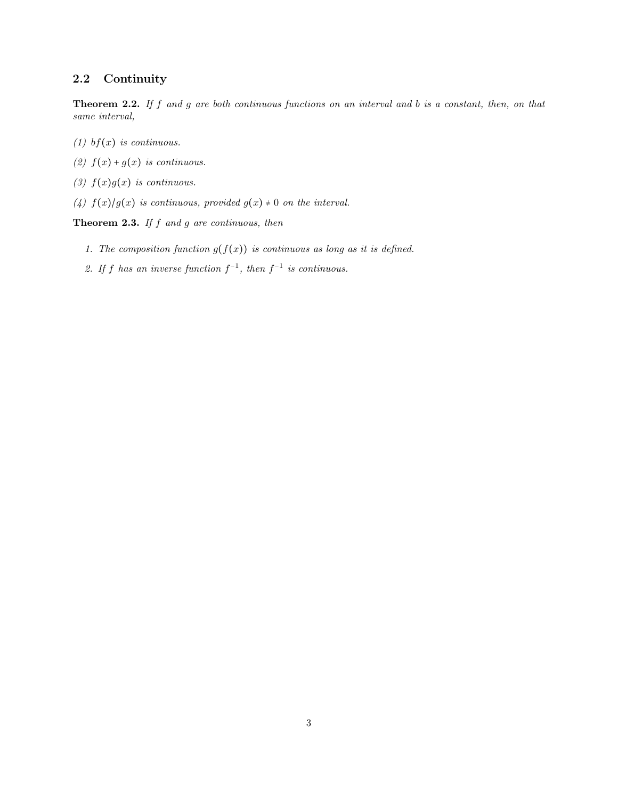### 2.2 Continuity

Theorem 2.2. If f and g are both continuous functions on an interval and b is a constant, then, on that same interval,

- (1) bf(x) is continuous.
- (2)  $f(x) + g(x)$  is continuous.
- (3)  $f(x)g(x)$  is continuous.
- (4)  $f(x)/g(x)$  is continuous, provided  $g(x) \neq 0$  on the interval.

**Theorem 2.3.** If  $f$  and  $g$  are continuous, then

- 1. The composition function  $g(f(x))$  is continuous as long as it is defined.
- 2. If f has an inverse function  $f^{-1}$ , then  $f^{-1}$  is continuous.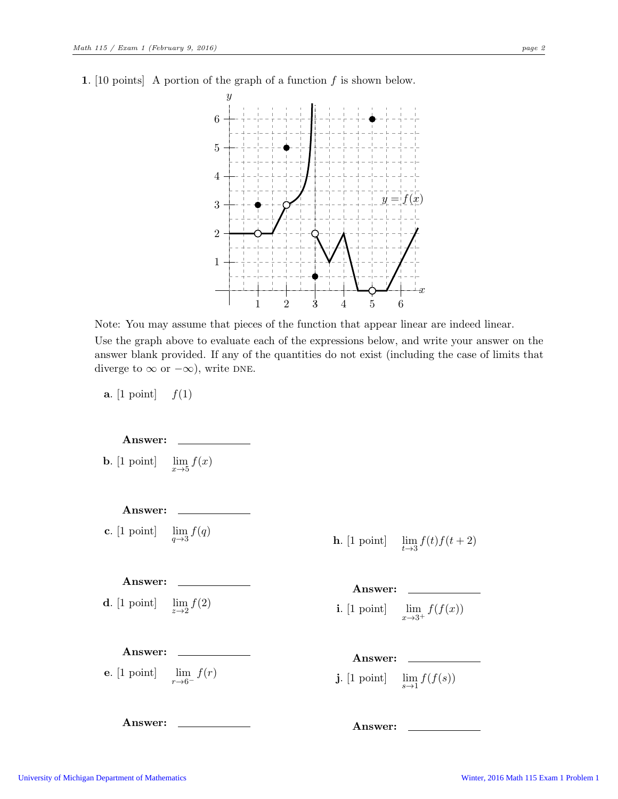1. [10 points] A portion of the graph of a function  $f$  is shown below.



Note: You may assume that pieces of the function that appear linear are indeed linear. Use the graph above to evaluate each of the expressions below, and write your answer on the answer blank provided. If any of the quantities do not exist (including the case of limits that diverge to  $\infty$  or  $-\infty$ ), write DNE.

**a.** [1 point]  $f(1)$ 

Answer:

**b.**  $\begin{bmatrix} 1 & \text{point} \end{bmatrix}$  $\lim_{x\to 5} f(x)$ 

Answer:  $c.$  [1 point]  $\lim_{q\to 3} f(q)$ 

## h.  $[1 \text{ point}]$

Answer:

**d**. [1 point]  $\lim_{z\to 2} f(2)$ 

Answer:

Answer:

e.  $[1 \text{ point}]$  $\lim_{r\to 6^-} f(r)$   $\lim_{t\to 3} f(t)f(t+2)$ 

Answer:  $i.$  [1 point]  $\lim_{x\to 3^+} f(f(x))$ 

Answer:

 $j.$  [1 point]  $\lim_{s\to 1} f(f(s))$ 

Answer: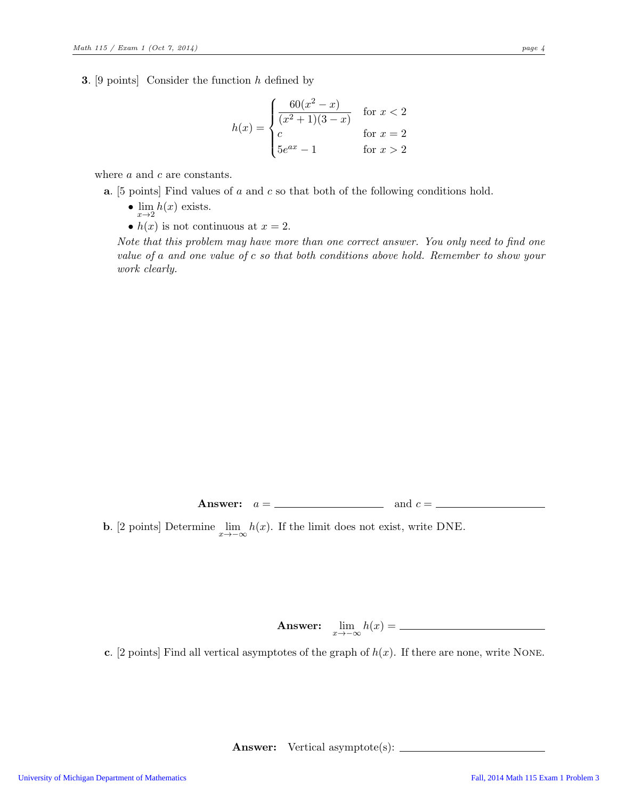**3.** [9 points] Consider the function  $h$  defined by

$$
h(x) = \begin{cases} \frac{60(x^2 - x)}{(x^2 + 1)(3 - x)} & \text{for } x < 2\\ c & \text{for } x = 2\\ 5e^{ax} - 1 & \text{for } x > 2 \end{cases}
$$

where *a* and *c* are constants.

- a. [5 points] Find values of a and c so that both of the following conditions hold.
	- $\lim_{x\to 2} h(x)$  exists.
	- $h(x)$  is not continuous at  $x = 2$ .

Note that this problem may have more than one correct answer. You only need to find one value of a and one value of c so that both conditions above hold. Remember to show your work clearly.

Answer: a = and c =

**b.** [2 points] Determine  $\lim_{x \to -\infty} h(x)$ . If the limit does not exist, write DNE.

Answer:  $\lim_{x \to -\infty} h(x) =$ 

c. [2 points] Find all vertical asymptotes of the graph of  $h(x)$ . If there are none, write NONE.

Answer: Vertical asymptote(s):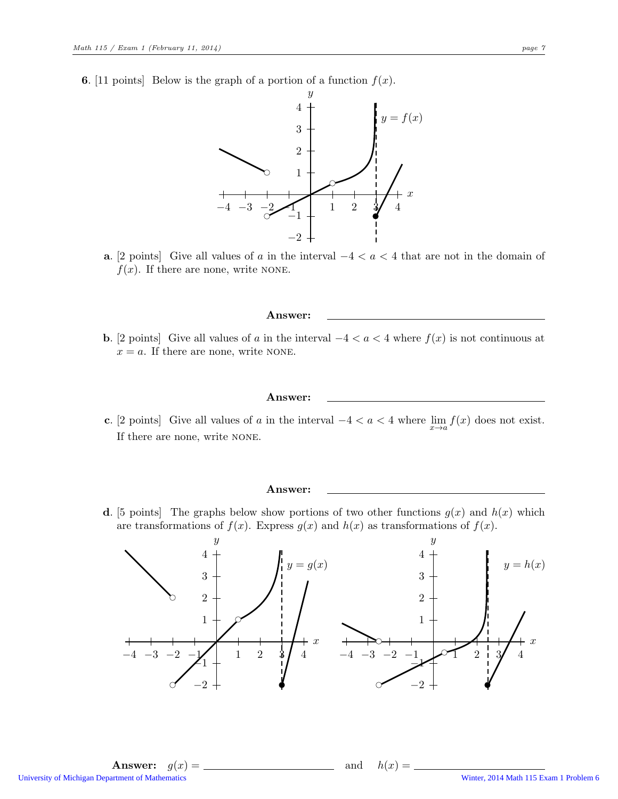**6.** [11 points] Below is the graph of a portion of a function  $f(x)$ .



a. [2 points] Give all values of a in the interval  $-4 < a < 4$  that are not in the domain of  $f(x)$ . If there are none, write NONE.

#### Answer:

**b.** [2 points] Give all values of a in the interval  $-4 < a < 4$  where  $f(x)$  is not continuous at  $x = a$ . If there are none, write NONE.

#### Answer:

c. [2 points] Give all values of a in the interval  $-4 < a < 4$  where  $\lim_{x\to a} f(x)$  does not exist. If there are none, write none.

#### Answer:

**d.** [5 points] The graphs below show portions of two other functions  $g(x)$  and  $h(x)$  which are transformations of  $f(x)$ . Express  $g(x)$  and  $h(x)$  as transformations of  $f(x)$ .

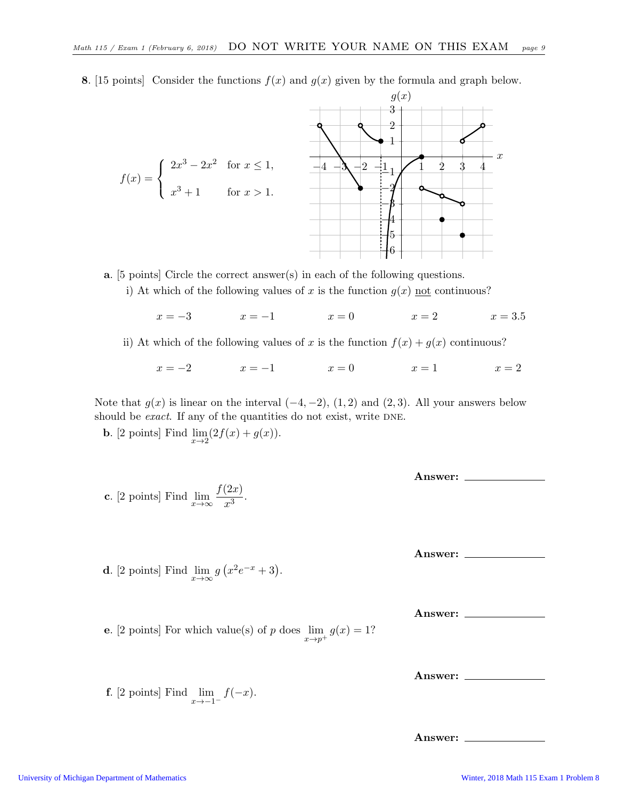$f(x) =$  $\sqrt{ }$  $\int$  $\mathcal{L}$  $2x^3 - 2x^2$  for  $x \le 1$ ,  $x^3 + 1$  for  $x > 1$ .  $-4$   $-3$   $-2$   $-1$  1 2 3 −6 −5 −4 −3 −2  $-1$ 1 2 3  $\boldsymbol{x}$  $g(x)$ 

8. [15 points] Consider the functions  $f(x)$  and  $g(x)$  given by the formula and graph below.

a. [5 points] Circle the correct answer(s) in each of the following questions.

i) At which of the following values of x is the function  $g(x)$  not continuous?

 $x = -3$   $x = -1$   $x = 0$   $x = 2$   $x = 3.5$ 

ii) At which of the following values of x is the function  $f(x) + g(x)$  continuous?

 $x = -2$   $x = -1$   $x = 0$   $x = 1$   $x = 2$ 

Note that  $g(x)$  is linear on the interval  $(-4, -2)$ ,  $(1, 2)$  and  $(2, 3)$ . All your answers below should be *exact*. If any of the quantities do not exist, write DNE.

**b.** [2 points] Find  $\lim_{x\to 2} (2f(x) + g(x)).$ 

c. [2 points] Find  $\lim_{x\to\infty} \frac{f(2x)}{x^3}$ 

Answer:

Answer:

Answer:

Answer:

Answer:

**d**. [2 points] Find  $\lim_{x \to \infty} g(x^2 e^{-x} + 3)$ .

e. [2 points] For which value(s) of p does  $\lim_{x \to p^+} g(x) = 1$ ?

 $\frac{z^{2}}{x^3}$ .

f. [2 points] Find  $\lim_{x \to -1^{-}} f(-x)$ .